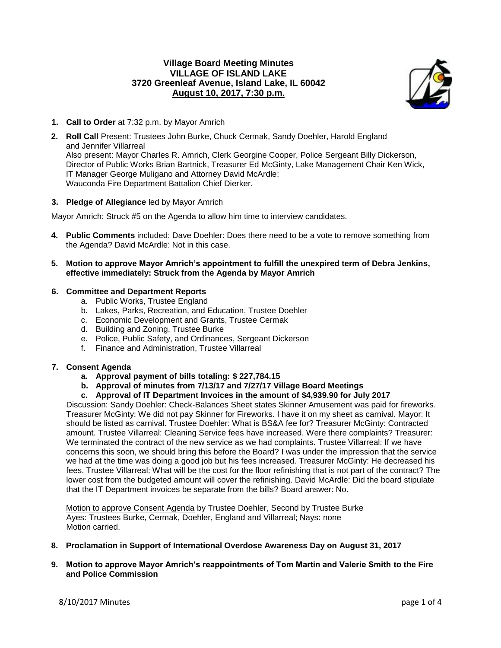# **Village Board Meeting Minutes VILLAGE OF ISLAND LAKE 3720 Greenleaf Avenue, Island Lake, IL 60042 August 10, 2017, 7:30 p.m.**



- **1. Call to Order** at 7:32 p.m. by Mayor Amrich
- **2. Roll Call** Present: Trustees John Burke, Chuck Cermak, Sandy Doehler, Harold England and Jennifer Villarreal Also present: Mayor Charles R. Amrich, Clerk Georgine Cooper, Police Sergeant Billy Dickerson, Director of Public Works Brian Bartnick, Treasurer Ed McGinty, Lake Management Chair Ken Wick, IT Manager George Muligano and Attorney David McArdle; Wauconda Fire Department Battalion Chief Dierker.

## **3. Pledge of Allegiance** led by Mayor Amrich

Mayor Amrich: Struck #5 on the Agenda to allow him time to interview candidates.

- **4. Public Comments** included: Dave Doehler: Does there need to be a vote to remove something from the Agenda? David McArdle: Not in this case.
- **5. Motion to approve Mayor Amrich's appointment to fulfill the unexpired term of Debra Jenkins, effective immediately: Struck from the Agenda by Mayor Amrich**

## **6. Committee and Department Reports**

- a. Public Works, Trustee England
- b. Lakes, Parks, Recreation, and Education, Trustee Doehler
- c. Economic Development and Grants, Trustee Cermak
- d. Building and Zoning, Trustee Burke
- e. Police, Public Safety, and Ordinances, Sergeant Dickerson
- f. Finance and Administration, Trustee Villarreal

## **7. Consent Agenda**

- **a. Approval payment of bills totaling: \$ 227,784.15**
- **b. Approval of minutes from 7/13/17 and 7/27/17 Village Board Meetings**
- **c. Approval of IT Department Invoices in the amount of \$4,939.90 for July 2017**

Discussion: Sandy Doehler: Check-Balances Sheet states Skinner Amusement was paid for fireworks. Treasurer McGinty: We did not pay Skinner for Fireworks. I have it on my sheet as carnival. Mayor: It should be listed as carnival. Trustee Doehler: What is BS&A fee for? Treasurer McGinty: Contracted amount. Trustee Villarreal: Cleaning Service fees have increased. Were there complaints? Treasurer: We terminated the contract of the new service as we had complaints. Trustee Villarreal: If we have concerns this soon, we should bring this before the Board? I was under the impression that the service we had at the time was doing a good job but his fees increased. Treasurer McGinty: He decreased his fees. Trustee Villarreal: What will be the cost for the floor refinishing that is not part of the contract? The lower cost from the budgeted amount will cover the refinishing. David McArdle: Did the board stipulate that the IT Department invoices be separate from the bills? Board answer: No.

Motion to approve Consent Agenda by Trustee Doehler, Second by Trustee Burke Ayes: Trustees Burke, Cermak, Doehler, England and Villarreal; Nays: none Motion carried.

- **8. Proclamation in Support of International Overdose Awareness Day on August 31, 2017**
- **9. Motion to approve Mayor Amrich's reappointments of Tom Martin and Valerie Smith to the Fire and Police Commission**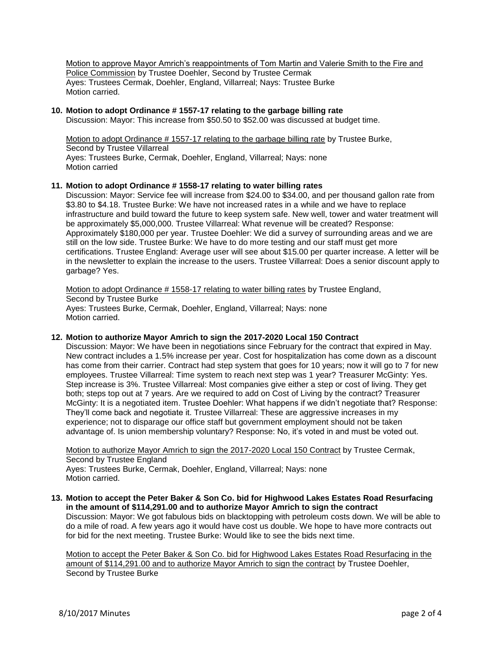Motion to approve Mayor Amrich's reappointments of Tom Martin and Valerie Smith to the Fire and Police Commission by Trustee Doehler, Second by Trustee Cermak Ayes: Trustees Cermak, Doehler, England, Villarreal; Nays: Trustee Burke Motion carried.

#### **10. Motion to adopt Ordinance # 1557-17 relating to the garbage billing rate**

Discussion: Mayor: This increase from \$50.50 to \$52.00 was discussed at budget time.

Motion to adopt Ordinance # 1557-17 relating to the garbage billing rate by Trustee Burke, Second by Trustee Villarreal Ayes: Trustees Burke, Cermak, Doehler, England, Villarreal; Nays: none Motion carried

#### **11. Motion to adopt Ordinance # 1558-17 relating to water billing rates**

Discussion: Mayor: Service fee will increase from \$24.00 to \$34.00, and per thousand gallon rate from \$3.80 to \$4.18. Trustee Burke: We have not increased rates in a while and we have to replace infrastructure and build toward the future to keep system safe. New well, tower and water treatment will be approximately \$5,000,000. Trustee Villarreal: What revenue will be created? Response: Approximately \$180,000 per year. Trustee Doehler: We did a survey of surrounding areas and we are still on the low side. Trustee Burke: We have to do more testing and our staff must get more certifications. Trustee England: Average user will see about \$15.00 per quarter increase. A letter will be in the newsletter to explain the increase to the users. Trustee Villarreal: Does a senior discount apply to garbage? Yes.

Motion to adopt Ordinance # 1558-17 relating to water billing rates by Trustee England, Second by Trustee Burke Ayes: Trustees Burke, Cermak, Doehler, England, Villarreal; Nays: none Motion carried.

#### **12. Motion to authorize Mayor Amrich to sign the 2017-2020 Local 150 Contract**

Discussion: Mayor: We have been in negotiations since February for the contract that expired in May. New contract includes a 1.5% increase per year. Cost for hospitalization has come down as a discount has come from their carrier. Contract had step system that goes for 10 years; now it will go to 7 for new employees. Trustee Villarreal: Time system to reach next step was 1 year? Treasurer McGinty: Yes. Step increase is 3%. Trustee Villarreal: Most companies give either a step or cost of living. They get both; steps top out at 7 years. Are we required to add on Cost of Living by the contract? Treasurer McGinty: It is a negotiated item. Trustee Doehler: What happens if we didn't negotiate that? Response: They'll come back and negotiate it. Trustee Villarreal: These are aggressive increases in my experience; not to disparage our office staff but government employment should not be taken advantage of. Is union membership voluntary? Response: No, it's voted in and must be voted out.

Motion to authorize Mayor Amrich to sign the 2017-2020 Local 150 Contract by Trustee Cermak, Second by Trustee England Ayes: Trustees Burke, Cermak, Doehler, England, Villarreal; Nays: none Motion carried.

#### **13. Motion to accept the Peter Baker & Son Co. bid for Highwood Lakes Estates Road Resurfacing in the amount of \$114,291.00 and to authorize Mayor Amrich to sign the contract**

Discussion: Mayor: We got fabulous bids on blacktopping with petroleum costs down. We will be able to do a mile of road. A few years ago it would have cost us double. We hope to have more contracts out for bid for the next meeting. Trustee Burke: Would like to see the bids next time.

Motion to accept the Peter Baker & Son Co. bid for Highwood Lakes Estates Road Resurfacing in the amount of \$114,291.00 and to authorize Mayor Amrich to sign the contract by Trustee Doehler, Second by Trustee Burke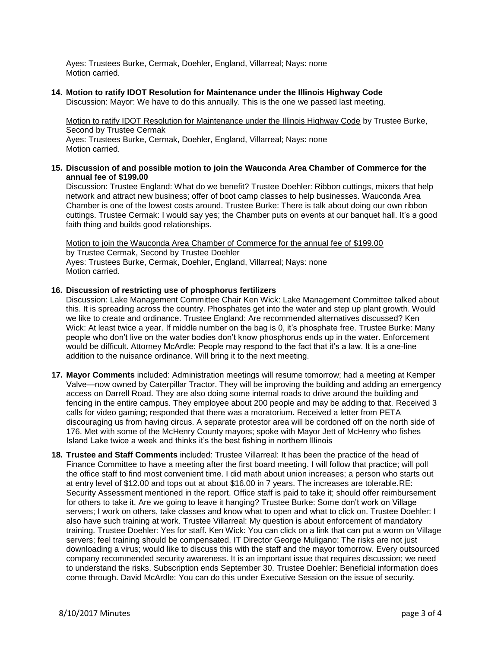Ayes: Trustees Burke, Cermak, Doehler, England, Villarreal; Nays: none Motion carried.

# **14. Motion to ratify IDOT Resolution for Maintenance under the Illinois Highway Code**

Discussion: Mayor: We have to do this annually. This is the one we passed last meeting.

Motion to ratify IDOT Resolution for Maintenance under the Illinois Highway Code by Trustee Burke, Second by Trustee Cermak Ayes: Trustees Burke, Cermak, Doehler, England, Villarreal; Nays: none Motion carried.

## **15. Discussion of and possible motion to join the Wauconda Area Chamber of Commerce for the annual fee of \$199.00**

Discussion: Trustee England: What do we benefit? Trustee Doehler: Ribbon cuttings, mixers that help network and attract new business; offer of boot camp classes to help businesses. Wauconda Area Chamber is one of the lowest costs around. Trustee Burke: There is talk about doing our own ribbon cuttings. Trustee Cermak: I would say yes; the Chamber puts on events at our banquet hall. It's a good faith thing and builds good relationships.

Motion to join the Wauconda Area Chamber of Commerce for the annual fee of \$199.00 by Trustee Cermak, Second by Trustee Doehler Ayes: Trustees Burke, Cermak, Doehler, England, Villarreal; Nays: none Motion carried.

## **16. Discussion of restricting use of phosphorus fertilizers**

Discussion: Lake Management Committee Chair Ken Wick: Lake Management Committee talked about this. It is spreading across the country. Phosphates get into the water and step up plant growth. Would we like to create and ordinance. Trustee England: Are recommended alternatives discussed? Ken Wick: At least twice a year. If middle number on the bag is 0, it's phosphate free. Trustee Burke: Many people who don't live on the water bodies don't know phosphorus ends up in the water. Enforcement would be difficult. Attorney McArdle: People may respond to the fact that it's a law. It is a one-line addition to the nuisance ordinance. Will bring it to the next meeting.

- **17. Mayor Comments** included: Administration meetings will resume tomorrow; had a meeting at Kemper Valve—now owned by Caterpillar Tractor. They will be improving the building and adding an emergency access on Darrell Road. They are also doing some internal roads to drive around the building and fencing in the entire campus. They employee about 200 people and may be adding to that. Received 3 calls for video gaming; responded that there was a moratorium. Received a letter from PETA discouraging us from having circus. A separate protestor area will be cordoned off on the north side of 176. Met with some of the McHenry County mayors; spoke with Mayor Jett of McHenry who fishes Island Lake twice a week and thinks it's the best fishing in northern Illinois
- **18. Trustee and Staff Comments** included: Trustee Villarreal: It has been the practice of the head of Finance Committee to have a meeting after the first board meeting. I will follow that practice; will poll the office staff to find most convenient time. I did math about union increases; a person who starts out at entry level of \$12.00 and tops out at about \$16.00 in 7 years. The increases are tolerable.RE: Security Assessment mentioned in the report. Office staff is paid to take it; should offer reimbursement for others to take it. Are we going to leave it hanging? Trustee Burke: Some don't work on Village servers; I work on others, take classes and know what to open and what to click on. Trustee Doehler: I also have such training at work. Trustee Villarreal: My question is about enforcement of mandatory training. Trustee Doehler: Yes for staff. Ken Wick: You can click on a link that can put a worm on Village servers; feel training should be compensated. IT Director George Muligano: The risks are not just downloading a virus; would like to discuss this with the staff and the mayor tomorrow. Every outsourced company recommended security awareness. It is an important issue that requires discussion; we need to understand the risks. Subscription ends September 30. Trustee Doehler: Beneficial information does come through. David McArdle: You can do this under Executive Session on the issue of security.